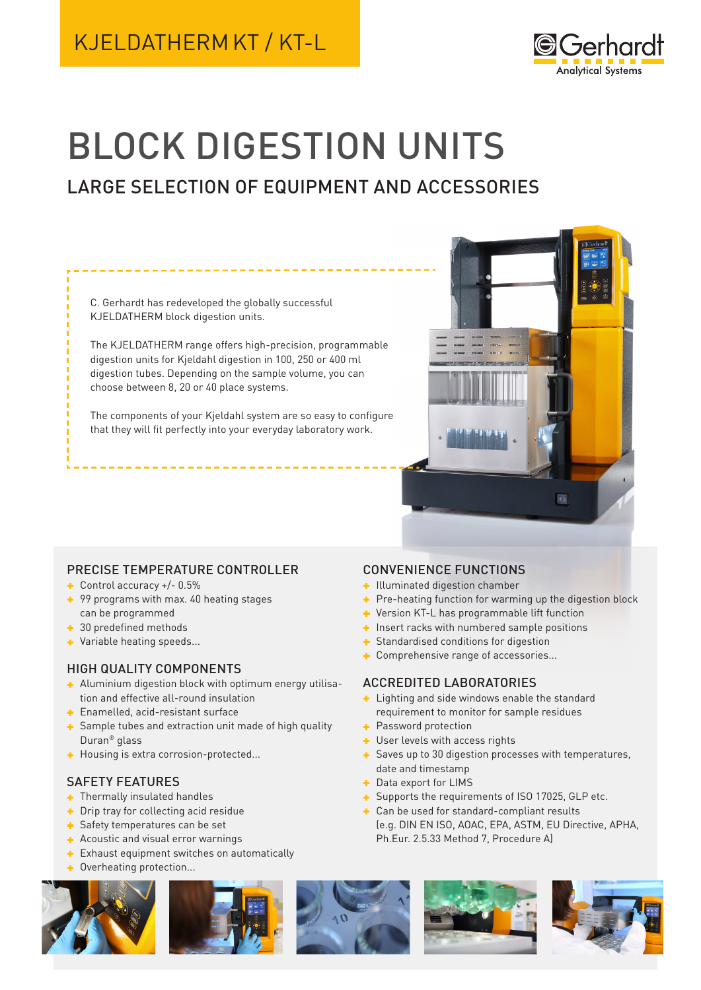# KJELDATHERM KT / KT-L



# BLOCK DIGESTION UNITS

# LARGE SELECTION OF EQUIPMENT AND ACCESSORIES

C. Gerhardt has redeveloped the globally successful KJELDATHERM block digestion units.

The KJELDATHERM range offers high-precision, programmable digestion units for Kjeldahl digestion in 100, 250 or 400 ml digestion tubes. Depending on the sample volume, you can choose between 8, 20 or 40 place systems.

The components of your Kjeldahl system are so easy to configure that they will fit perfectly into your everyday laboratory work.



# PRECISE TEMPERATURE CONTROLLER

- Control accuracy +/- 0.5%
- + 99 programs with max. 40 heating stages can be programmed
- **1** 30 predefined methods
- **+** Variable heating speeds...

# HIGH QUALITY COMPONENTS

- Aluminium digestion block with optimum energy utilisation and effective all-round insulation
- **Enamelled, acid-resistant surface**
- Sample tubes and extraction unit made of high quality Duran® glass
- Housing is extra corrosion-protected...

# SAFETY FEATURES

- **Thermally insulated handles**
- Drip tray for collecting acid residue
- Safety temperatures can be set
- Acoustic and visual error warnings
- **Exhaust equipment switches on automatically**
- **+** Overheating protection...







# CONVENIENCE FUNCTIONS

- Illuminated digestion chamber
- Pre-heating function for warming up the digestion block
- **+** Version KT-L has programmable lift function
- $\blacksquare$  Insert racks with numbered sample positions
- Standardised conditions for digestion
- Comprehensive range of accessories...

# ACCREDITED LABORATORIES

- **Lighting and side windows enable the standard** requirement to monitor for sample residues
- Password protection
- User levels with access rights
- Saves up to 30 digestion processes with temperatures, date and timestamp
- **+** Data export for LIMS
- Supports the requirements of ISO 17025, GLP etc.
- **+** Can be used for standard-compliant results (e.g. DIN EN ISO, AOAC, EPA, ASTM, EU Directive, APHA, Ph.Eur. 2.5.33 Method 7, Procedure A)